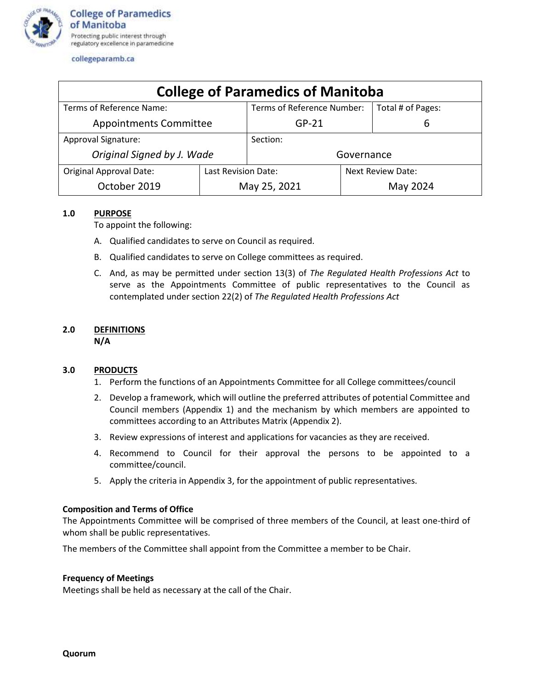

collegeparamb.ca

| <b>College of Paramedics of Manitoba</b> |                     |                            |                          |  |  |  |  |  |  |  |
|------------------------------------------|---------------------|----------------------------|--------------------------|--|--|--|--|--|--|--|
| Terms of Reference Name:                 |                     | Terms of Reference Number: | Total # of Pages:        |  |  |  |  |  |  |  |
| <b>Appointments Committee</b>            |                     | $GP-21$                    | b                        |  |  |  |  |  |  |  |
| <b>Approval Signature:</b>               |                     | Section:                   |                          |  |  |  |  |  |  |  |
| Original Signed by J. Wade               | Governance          |                            |                          |  |  |  |  |  |  |  |
| <b>Original Approval Date:</b>           | Last Revision Date: |                            | <b>Next Review Date:</b> |  |  |  |  |  |  |  |
| October 2019                             |                     | May 25, 2021               | May 2024                 |  |  |  |  |  |  |  |

#### **1.0 PURPOSE**

To appoint the following:

- A. Qualified candidates to serve on Council as required.
- B. Qualified candidates to serve on College committees as required.
- C. And, as may be permitted under section 13(3) of *The Regulated Health Professions Act* to serve as the Appointments Committee of public representatives to the Council as contemplated under section 22(2) of *The Regulated Health Professions Act*

#### **2.0 DEFINITIONS N/A**

#### **3.0 PRODUCTS**

- 1. Perform the functions of an Appointments Committee for all College committees/council
- 2. Develop a framework, which will outline the preferred attributes of potential Committee and Council members (Appendix 1) and the mechanism by which members are appointed to committees according to an Attributes Matrix (Appendix 2).
- 3. Review expressions of interest and applications for vacancies as they are received.
- 4. Recommend to Council for their approval the persons to be appointed to a committee/council.
- 5. Apply the criteria in Appendix 3, for the appointment of public representatives.

#### **Composition and Terms of Office**

The Appointments Committee will be comprised of three members of the Council, at least one-third of whom shall be public representatives.

The members of the Committee shall appoint from the Committee a member to be Chair.

#### **Frequency of Meetings**

Meetings shall be held as necessary at the call of the Chair.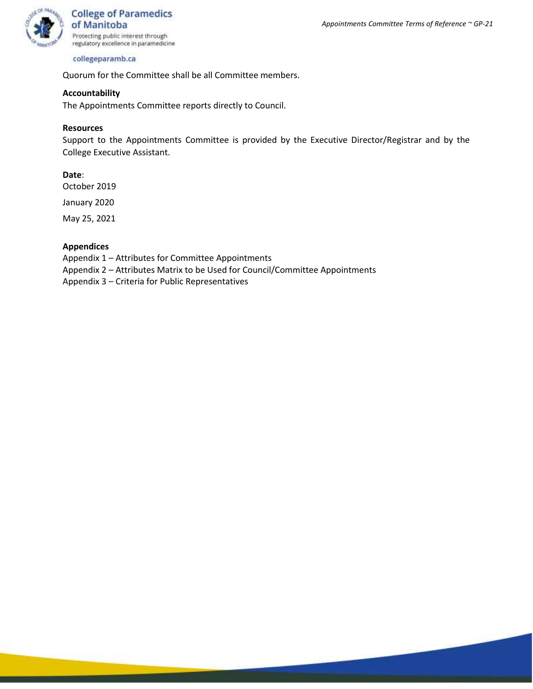#### collegeparamb.ca

Quorum for the Committee shall be all Committee members.

#### **Accountability**

The Appointments Committee reports directly to Council.

#### **Resources**

Support to the Appointments Committee is provided by the Executive Director/Registrar and by the College Executive Assistant.

#### **Date**:

October 2019

January 2020

May 25, 2021

#### **Appendices**

Appendix 1 – Attributes for Committee Appointments

Appendix 2 – Attributes Matrix to be Used for Council/Committee Appointments

Appendix 3 – Criteria for Public Representatives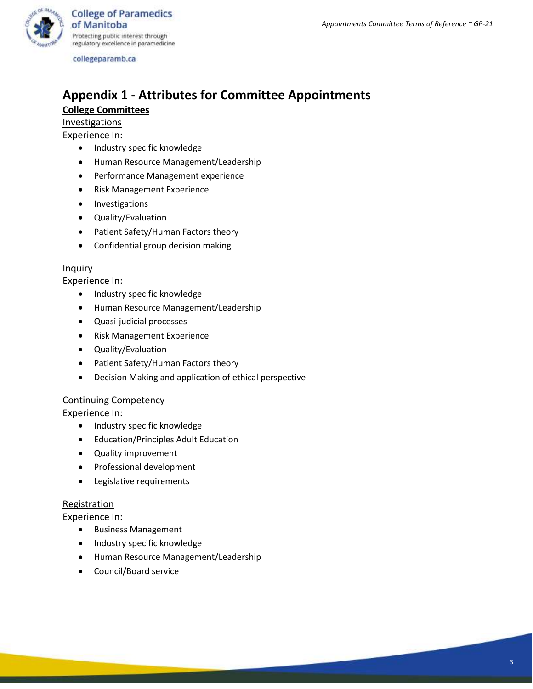

**College of Paramedics** of Manitoba Protecting public interest through regulatory excellence in paramedicine

collegeparamb.ca

# **Appendix 1 - Attributes for Committee Appointments**

### **College Committees**

**Investigations** 

Experience In:

- Industry specific knowledge
- Human Resource Management/Leadership
- Performance Management experience
- Risk Management Experience
- Investigations
- Quality/Evaluation
- Patient Safety/Human Factors theory
- Confidential group decision making

#### Inquiry

Experience In:

- Industry specific knowledge
- Human Resource Management/Leadership
- Quasi-judicial processes
- Risk Management Experience
- Quality/Evaluation
- Patient Safety/Human Factors theory
- Decision Making and application of ethical perspective

#### Continuing Competency

Experience In:

- Industry specific knowledge
- Education/Principles Adult Education
- Quality improvement
- Professional development
- Legislative requirements

#### **Registration**

Experience In:

- Business Management
- Industry specific knowledge
- Human Resource Management/Leadership
- Council/Board service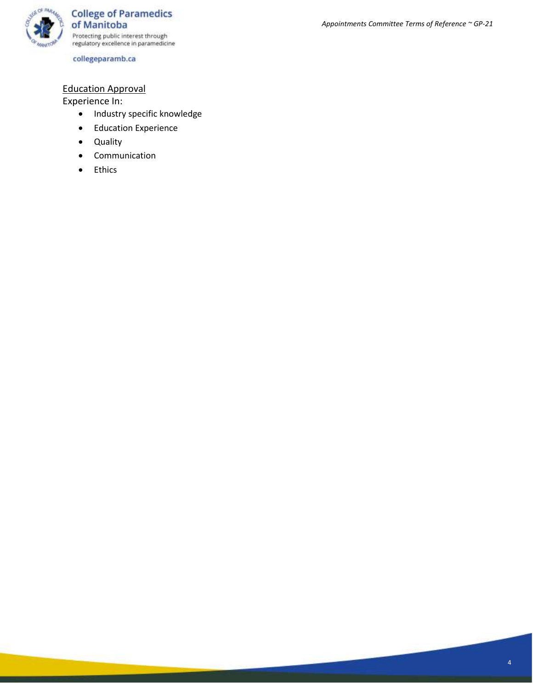

collegeparamb.ca

### Education Approval

Experience In:

- Industry specific knowledge
- Education Experience
- Quality
- Communication
- Ethics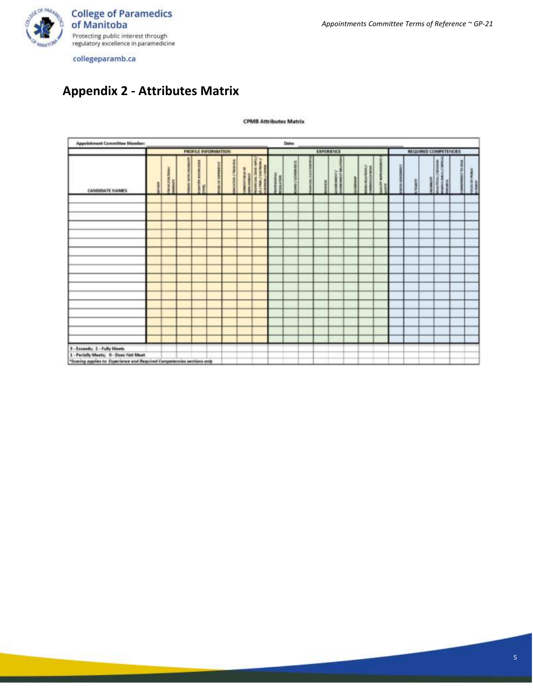

*Appointments Committee Terms of Reference ~ GP-21*

collegeparamb.ca

## **Appendix 2 - Attributes Matrix**

#### **CPMB Attributes Matrix**

| <b>Appointment Committee Member:</b><br>Date:                         |                                                                        |  |  |  |  |  |  |            |  |  |  |  |  |  |  |  |                       |  |  |  |  |  |
|-----------------------------------------------------------------------|------------------------------------------------------------------------|--|--|--|--|--|--|------------|--|--|--|--|--|--|--|--|-----------------------|--|--|--|--|--|
|                                                                       | <b>PROFILE INFORMATION</b>                                             |  |  |  |  |  |  | EXPERIENCE |  |  |  |  |  |  |  |  | REQUIRED COMPETENCIES |  |  |  |  |  |
| <b>CANDIDATE NAMES</b>                                                |                                                                        |  |  |  |  |  |  |            |  |  |  |  |  |  |  |  |                       |  |  |  |  |  |
|                                                                       |                                                                        |  |  |  |  |  |  |            |  |  |  |  |  |  |  |  |                       |  |  |  |  |  |
|                                                                       |                                                                        |  |  |  |  |  |  |            |  |  |  |  |  |  |  |  |                       |  |  |  |  |  |
|                                                                       |                                                                        |  |  |  |  |  |  |            |  |  |  |  |  |  |  |  |                       |  |  |  |  |  |
|                                                                       |                                                                        |  |  |  |  |  |  |            |  |  |  |  |  |  |  |  |                       |  |  |  |  |  |
|                                                                       |                                                                        |  |  |  |  |  |  |            |  |  |  |  |  |  |  |  |                       |  |  |  |  |  |
|                                                                       |                                                                        |  |  |  |  |  |  |            |  |  |  |  |  |  |  |  |                       |  |  |  |  |  |
|                                                                       |                                                                        |  |  |  |  |  |  |            |  |  |  |  |  |  |  |  |                       |  |  |  |  |  |
|                                                                       |                                                                        |  |  |  |  |  |  |            |  |  |  |  |  |  |  |  |                       |  |  |  |  |  |
|                                                                       |                                                                        |  |  |  |  |  |  |            |  |  |  |  |  |  |  |  |                       |  |  |  |  |  |
|                                                                       |                                                                        |  |  |  |  |  |  |            |  |  |  |  |  |  |  |  |                       |  |  |  |  |  |
|                                                                       |                                                                        |  |  |  |  |  |  |            |  |  |  |  |  |  |  |  |                       |  |  |  |  |  |
|                                                                       |                                                                        |  |  |  |  |  |  |            |  |  |  |  |  |  |  |  |                       |  |  |  |  |  |
|                                                                       |                                                                        |  |  |  |  |  |  |            |  |  |  |  |  |  |  |  |                       |  |  |  |  |  |
|                                                                       |                                                                        |  |  |  |  |  |  |            |  |  |  |  |  |  |  |  |                       |  |  |  |  |  |
|                                                                       |                                                                        |  |  |  |  |  |  |            |  |  |  |  |  |  |  |  |                       |  |  |  |  |  |
|                                                                       |                                                                        |  |  |  |  |  |  |            |  |  |  |  |  |  |  |  |                       |  |  |  |  |  |
| 3 - Exceeds; 2 - Fully Meets<br>1 - Parielly Meets; G - Does Not Meet |                                                                        |  |  |  |  |  |  |            |  |  |  |  |  |  |  |  |                       |  |  |  |  |  |
|                                                                       | "Scaring applies to Experience and Required Competencies sections andy |  |  |  |  |  |  |            |  |  |  |  |  |  |  |  |                       |  |  |  |  |  |